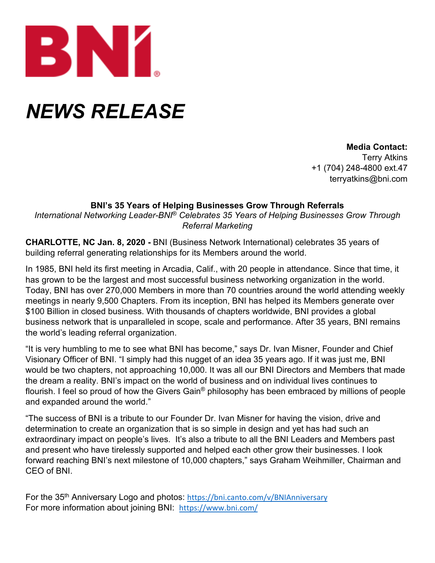

## *NEWS RELEASE*

**Media Contact:** Terry Atkins +1 (704) 248-4800 ext.47 terryatkins@bni.com

## **BNI's 35 Years of Helping Businesses Grow Through Referrals**

*International Networking Leader-BNI*® *Celebrates 35 Years of Helping Businesses Grow Through Referral Marketing*

**CHARLOTTE, NC Jan. 8, 2020 -** BNI (Business Network International) celebrates 35 years of building referral generating relationships for its Members around the world.

In 1985, BNI held its first meeting in Arcadia, Calif., with 20 people in attendance. Since that time, it has grown to be the largest and most successful business networking organization in the world. Today, BNI has over 270,000 Members in more than 70 countries around the world attending weekly meetings in nearly 9,500 Chapters. From its inception, BNI has helped its Members generate over \$100 Billion in closed business. With thousands of chapters worldwide, BNI provides a global business network that is unparalleled in scope, scale and performance. After 35 years, BNI remains the world's leading referral organization.

"It is very humbling to me to see what BNI has become," says Dr. Ivan Misner, Founder and Chief Visionary Officer of BNI. "I simply had this nugget of an idea 35 years ago. If it was just me, BNI would be two chapters, not approaching 10,000. It was all our BNI Directors and Members that made the dream a reality. BNI's impact on the world of business and on individual lives continues to flourish. I feel so proud of how the Givers Gain® philosophy has been embraced by millions of people and expanded around the world."

"The success of BNI is a tribute to our Founder Dr. Ivan Misner for having the vision, drive and determination to create an organization that is so simple in design and yet has had such an extraordinary impact on people's lives. It's also a tribute to all the BNI Leaders and Members past and present who have tirelessly supported and helped each other grow their businesses. I look forward reaching BNI's next milestone of 10,000 chapters," says Graham Weihmiller, Chairman and CEO of BNI.

For the 35<sup>th</sup> Anniversary Logo and photos: <https://bni.canto.com/v/BNIAnniversary> For more information about joining BNI: <https://www.bni.com/>